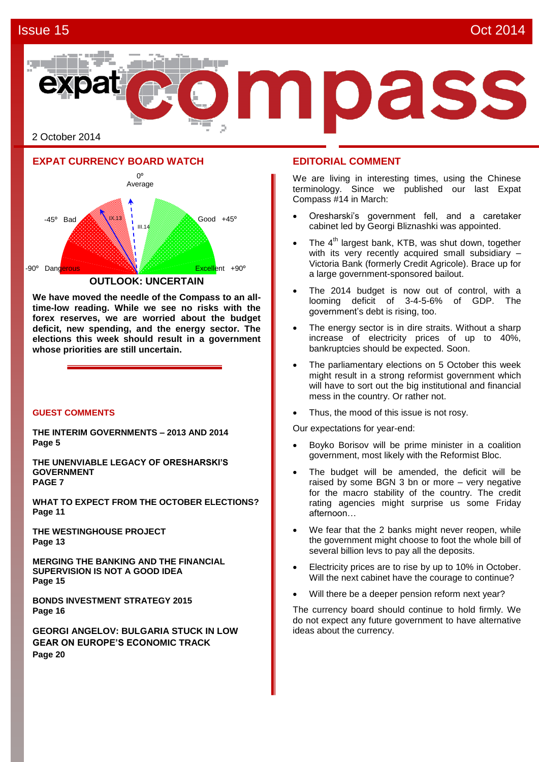### Issue 15 Oct 2014



2 October 2014

### **EXPAT CURRENCY BOARD WATCH**



**We have moved the needle of the Compass to an alltime-low reading. While we see no risks with the forex reserves, we are worried about the budget deficit, new spending, and the energy sector. The elections this week should result in a government whose priorities are still uncertain.** 

### **GUEST COMMENTS**

**THE INTERIM GOVERNMENTS – 2013 AND 2014 Page 5**

**THE UNENVIABLE LEGACY OF ORESHARSKI'S GOVERNMENT PAGE 7**

**WHAT TO EXPECT FROM THE OCTOBER ELECTIONS? Page 11**

**THE WESTINGHOUSE PROJECT Page 13**

**MERGING THE BANKING AND THE FINANCIAL SUPERVISION IS NOT A GOOD IDEA Page 15**

**BONDS INVESTMENT STRATEGY 2015 Page 16**

**GEORGI ANGELOV: BULGARIA STUCK IN LOW GEAR ON EUROPE'S ECONOMIC TRACK Page 20**

### **EDITORIAL COMMENT**

We are living in interesting times, using the Chinese terminology. Since we published our last Expat Compass #14 in March:

- Oresharski's government fell, and a caretaker cabinet led by Georgi Bliznashki was appointed.
- The 4<sup>th</sup> largest bank, KTB, was shut down, together with its very recently acquired small subsidiary -Victoria Bank (formerly Credit Agricole). Brace up for a large government-sponsored bailout.
- The 2014 budget is now out of control, with a looming deficit of 3-4-5-6% of GDP. The government's debt is rising, too.
- The energy sector is in dire straits. Without a sharp increase of electricity prices of up to 40%, bankruptcies should be expected. Soon.
- The parliamentary elections on 5 October this week might result in a strong reformist government which will have to sort out the big institutional and financial mess in the country. Or rather not.
- Thus, the mood of this issue is not rosy.

Our expectations for year-end:

- Boyko Borisov will be prime minister in a coalition government, most likely with the Reformist Bloc.
- The budget will be amended, the deficit will be raised by some BGN 3 bn or more – very negative for the macro stability of the country. The credit rating agencies might surprise us some Friday afternoon…
- We fear that the 2 banks might never reopen, while the government might choose to foot the whole bill of several billion levs to pay all the deposits.
- Electricity prices are to rise by up to 10% in October. Will the next cabinet have the courage to continue?
- Will there be a deeper pension reform next year?

The currency board should continue to hold firmly. We do not expect any future government to have alternative ideas about the currency.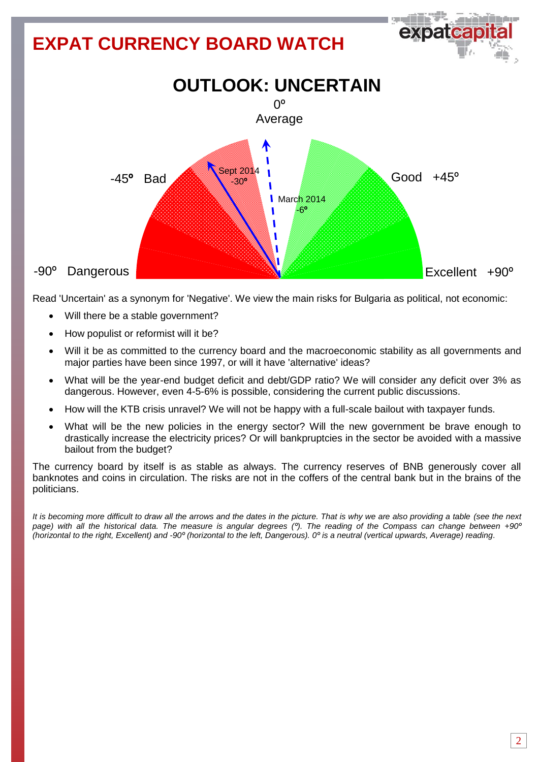## **EXPAT CURRENCY BOARD WATCH OUTLOOK: UNCERTAIN**  $0^{\circ}$ Average Sept 2014  $Good +45°$  -45**º** Bad -30**ºMarch 2014** -6**º** ı ı -90º Dangerous Excellent +90°

Read 'Uncertain' as a synonym for 'Negative'. We view the main risks for Bulgaria as political, not economic:

- Will there be a stable government?
- How populist or reformist will it be?
- Will it be as committed to the currency board and the macroeconomic stability as all governments and major parties have been since 1997, or will it have 'alternative' ideas?
- What will be the year-end budget deficit and debt/GDP ratio? We will consider any deficit over 3% as dangerous. However, even 4-5-6% is possible, considering the current public discussions.
- How will the KTB crisis unravel? We will not be happy with a full-scale bailout with taxpayer funds.
- What will be the new policies in the energy sector? Will the new government be brave enough to drastically increase the electricity prices? Or will bankpruptcies in the sector be avoided with a massive bailout from the budget?

The currency board by itself is as stable as always. The currency reserves of BNB generously cover all banknotes and coins in circulation. The risks are not in the coffers of the central bank but in the brains of the politicians.

*It is becoming more difficult to draw all the arrows and the dates in the picture. That is why we are also providing a table (see the next page) with all the historical data. The measure is angular degrees (º). The reading of the Compass can change between +90º (horizontal to the right, Excellent) and -90º (horizontal to the left, Dangerous). 0º is a neutral (vertical upwards, Average) reading*.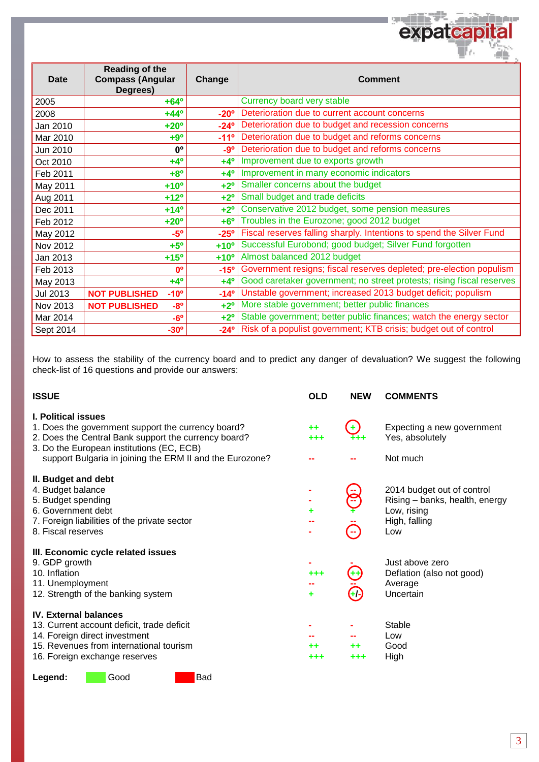|             |                                                              |               | <b>TALLA</b><br>٠Ļ                                                    |
|-------------|--------------------------------------------------------------|---------------|-----------------------------------------------------------------------|
| <b>Date</b> | <b>Reading of the</b><br><b>Compass (Angular</b><br>Degrees) | Change        | <b>Comment</b>                                                        |
| 2005        | $+64^{\circ}$                                                |               | Currency board very stable                                            |
| 2008        | $+44^{\circ}$                                                | $-20^\circ$   | Deterioration due to current account concerns                         |
| Jan 2010    | $+20^{\circ}$                                                | $-24^{\circ}$ | Deterioration due to budget and recession concerns                    |
| Mar 2010    | $+9°$                                                        | $-11^{\circ}$ | Deterioration due to budget and reforms concerns                      |
| Jun 2010    | <b>n</b> °                                                   | -9°           | Deterioration due to budget and reforms concerns                      |
| Oct 2010    | $+4^{\circ}$                                                 | $+4^\circ$    | Improvement due to exports growth                                     |
| Feb 2011    | $+8^{\circ}$                                                 | $+4^\circ$    | Improvement in many economic indicators                               |
| May 2011    | $+10o$                                                       | $+2^{\circ}$  | Smaller concerns about the budget                                     |
| Aug 2011    | $+12^{\circ}$                                                | $+2^{\circ}$  | Small budget and trade deficits                                       |
| Dec 2011    | $+14^{\circ}$                                                | $+2^{\circ}$  | Conservative 2012 budget, some pension measures                       |
| Feb 2012    | $+20^{\circ}$                                                | $+6^\circ$    | Troubles in the Eurozone; good 2012 budget                            |
| May 2012    | $-5^\circ$                                                   | $-25^\circ$   | Fiscal reserves falling sharply. Intentions to spend the Silver Fund  |
| Nov 2012    | $+5^\circ$                                                   | $+10^{\circ}$ | Successful Eurobond; good budget; Silver Fund forgotten               |
| Jan 2013    | $+15^{\circ}$                                                | $+10^{\circ}$ | Almost balanced 2012 budget                                           |
| Feb 2013    | $0^{\circ}$                                                  | $-15°$        | Government resigns; fiscal reserves depleted; pre-election populism   |
| May 2013    | $+4^{\circ}$                                                 | $+4^{\circ}$  | Good caretaker government; no street protests; rising fiscal reserves |
| Jul 2013    | <b>NOT PUBLISHED</b><br>$-10o$                               | $-14^{\circ}$ | Unstable government; increased 2013 budget deficit; populism          |
| Nov 2013    | <b>NOT PUBLISHED</b><br>$-8^{\circ}$                         | $+2^\circ$    | More stable government; better public finances                        |
| Mar 2014    | $-6^\circ$                                                   | $+2^{\circ}$  | Stable government; better public finances; watch the energy sector    |
| Sept 2014   | $-30^\circ$                                                  | $-24^\circ$   | Risk of a populist government; KTB crisis; budget out of control      |

**Contract In the Se** 

expate

٠

discount

How to assess the stability of the currency board and to predict any danger of devaluation? We suggest the following check-list of 16 questions and provide our answers:

| <b>ISSUE</b>                                                                                                                                                                                                                                      | <b>OLD</b>   | <b>NEW</b> | <b>COMMENTS</b>                                                                                     |
|---------------------------------------------------------------------------------------------------------------------------------------------------------------------------------------------------------------------------------------------------|--------------|------------|-----------------------------------------------------------------------------------------------------|
| <b>I. Political issues</b><br>1. Does the government support the currency board?<br>2. Does the Central Bank support the currency board?<br>3. Do the European institutions (EC, ECB)<br>support Bulgaria in joining the ERM II and the Eurozone? | ++<br>+++    | ٠          | Expecting a new government<br>Yes, absolutely<br>Not much                                           |
| II. Budget and debt<br>4. Budget balance<br>5. Budget spending<br>6. Government debt<br>7. Foreign liabilities of the private sector<br>8. Fiscal reserves                                                                                        | ٠            |            | 2014 budget out of control<br>Rising - banks, health, energy<br>Low, rising<br>High, falling<br>Low |
| III. Economic cycle related issues<br>9. GDP growth<br>10. Inflation<br>11. Unemployment<br>12. Strength of the banking system                                                                                                                    | $+ + +$<br>٠ | Œ          | Just above zero<br>Deflation (also not good)<br>Average<br>Uncertain                                |
| <b>IV. External balances</b><br>13. Current account deficit, trade deficit<br>14. Foreign direct investment<br>15. Revenues from international tourism<br>16. Foreign exchange reserves                                                           | ++<br>+++    | ++<br>+++  | Stable<br>Low<br>Good<br>High                                                                       |

### Legend: **Good** Bad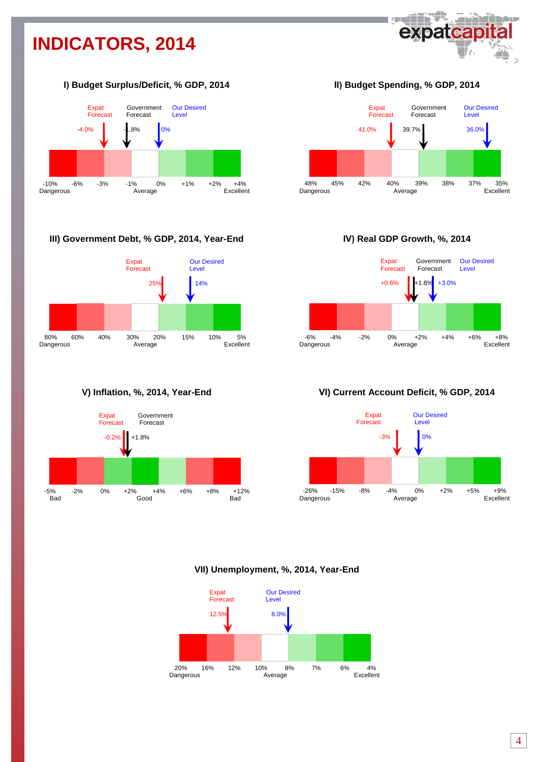# **INDICATORS, 2014**



### **І) Budget Surplus/Deficit, % GDP, 2014**



### **III) Government Debt, % GDP, 2014, Year-End**



**V) Inflation, %, 2014, Year-End**



**ІІ) Budget Spending, % GDP, 2014**



**ІV) Real GDP Growth, %, 2014**



### **VІ) Current Account Deficit, % GDP, 2014**



### **VII) Unemployment, %, 2014, Year-End**

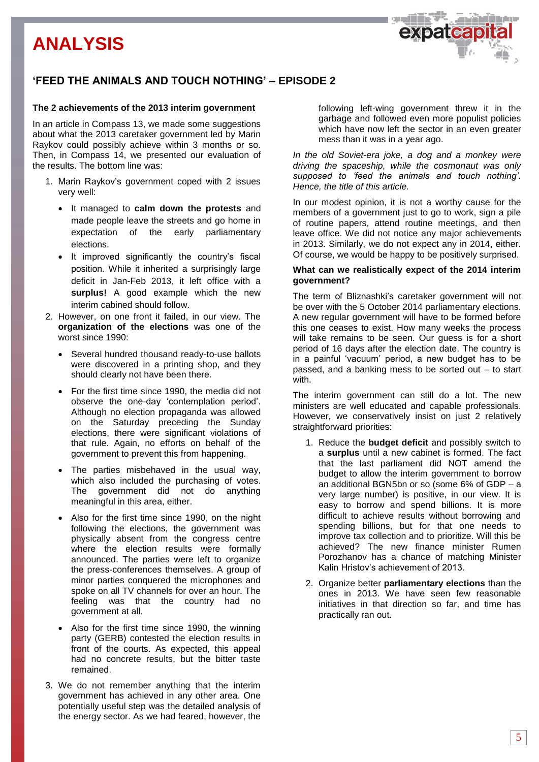### **'FEED THE ANIMALS AND TOUCH NOTHING' – EPISODE 2**

### **The 2 achievements of the 2013 interim government**

In an article in Compass 13, we made some suggestions about what the 2013 caretaker government led by Marin Raykov could possibly achieve within 3 months or so. Then, in Compass 14, we presented our evaluation of the results. The bottom line was:

- 1. Marin Raykov's government coped with 2 issues very well:
	- It managed to **calm down the protests** and made people leave the streets and go home in expectation of the early parliamentary elections.
	- It improved significantly the country's fiscal position. While it inherited a surprisingly large deficit in Jan-Feb 2013, it left office with a **surplus!** A good example which the new interim cabined should follow.
- 2. However, on one front it failed, in our view. The **organization of the elections** was one of the worst since 1990:
	- Several hundred thousand ready-to-use ballots were discovered in a printing shop, and they should clearly not have been there.
	- For the first time since 1990, the media did not observe the one-day 'contemplation period'. Although no election propaganda was allowed on the Saturday preceding the Sunday elections, there were significant violations of that rule. Again, no efforts on behalf of the government to prevent this from happening.
	- The parties misbehaved in the usual way, which also included the purchasing of votes. The government did not do anything meaningful in this area, either.
	- Also for the first time since 1990, on the night following the elections, the government was physically absent from the congress centre where the election results were formally announced. The parties were left to organize the press-conferences themselves. A group of minor parties conquered the microphones and spoke on all TV channels for over an hour. The feeling was that the country had no government at all.
	- Also for the first time since 1990, the winning party (GERB) contested the election results in front of the courts. As expected, this appeal had no concrete results, but the bitter taste remained.
- 3. We do not remember anything that the interim government has achieved in any other area. One potentially useful step was the detailed analysis of the energy sector. As we had feared, however, the

following left-wing government threw it in the garbage and followed even more populist policies which have now left the sector in an even greater mess than it was in a year ago.

*In the old Soviet-era joke, a dog and a monkey were driving the spaceship, while the cosmonaut was only supposed to 'feed the animals and touch nothing'. Hence, the title of this article.* 

In our modest opinion, it is not a worthy cause for the members of a government just to go to work, sign a pile of routine papers, attend routine meetings, and then leave office. We did not notice any major achievements in 2013. Similarly, we do not expect any in 2014, either. Of course, we would be happy to be positively surprised.

### **What can we realistically expect of the 2014 interim government?**

The term of Bliznashki's caretaker government will not be over with the 5 October 2014 parliamentary elections. A new regular government will have to be formed before this one ceases to exist. How many weeks the process will take remains to be seen. Our guess is for a short period of 16 days after the election date. The country is in a painful 'vacuum' period, a new budget has to be passed, and a banking mess to be sorted out – to start with.

The interim government can still do a lot. The new ministers are well educated and capable professionals. However, we conservatively insist on just 2 relatively straightforward priorities:

- 1. Reduce the **budget deficit** and possibly switch to a **surplus** until a new cabinet is formed. The fact that the last parliament did NOT amend the budget to allow the interim government to borrow an additional BGN5bn or so (some 6% of GDP – a very large number) is positive, in our view. It is easy to borrow and spend billions. It is more difficult to achieve results without borrowing and spending billions, but for that one needs to improve tax collection and to prioritize. Will this be achieved? The new finance minister Rumen Porozhanov has a chance of matching Minister Kalin Hristov's achievement of 2013.
- 2. Organize better **parliamentary elections** than the ones in 2013. We have seen few reasonable initiatives in that direction so far, and time has practically ran out.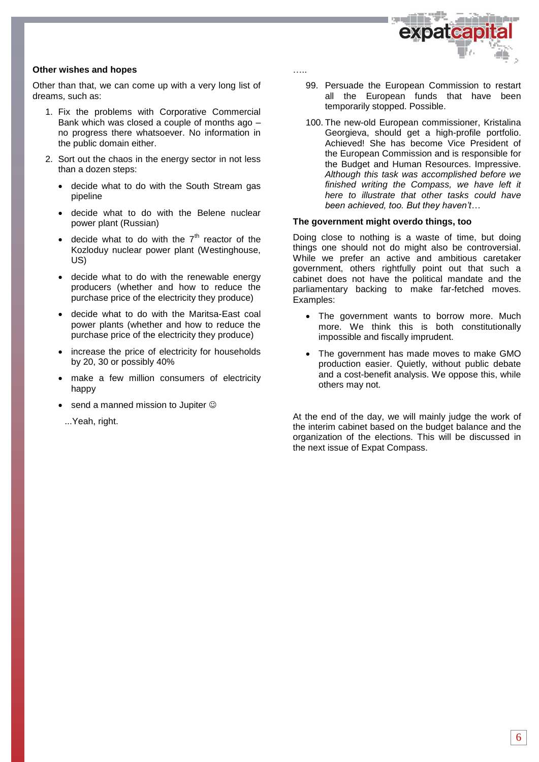

### **Other wishes and hopes**

Other than that, we can come up with a very long list of dreams, such as:

- 1. Fix the problems with Corporative Commercial Bank which was closed a couple of months ago – no progress there whatsoever. No information in the public domain either.
- 2. Sort out the chaos in the energy sector in not less than a dozen steps:
	- decide what to do with the South Stream gas pipeline
	- decide what to do with the Belene nuclear power plant (Russian)
	- decide what to do with the  $7<sup>th</sup>$  reactor of the Kozloduy nuclear power plant (Westinghouse, US)
	- decide what to do with the renewable energy producers (whether and how to reduce the purchase price of the electricity they produce)
	- decide what to do with the Maritsa-East coal power plants (whether and how to reduce the purchase price of the electricity they produce)
	- increase the price of electricity for households by 20, 30 or possibly 40%
	- make a few million consumers of electricity happy
	- send a manned mission to Jupiter  $\odot$ 
		- ...Yeah, right.

…..

- 99. Persuade the European Commission to restart all the European funds that have been temporarily stopped. Possible.
- 100. The new-old European commissioner, Kristalina Georgieva, should get a high-profile portfolio. Achieved! She has become Vice President of the European Commission and is responsible for the Budget and Human Resources. Impressive. *Although this task was accomplished before we finished writing the Compass, we have left it here to illustrate that other tasks could have been achieved, too. But they haven't…*

### **The government might overdo things, too**

Doing close to nothing is a waste of time, but doing things one should not do might also be controversial. While we prefer an active and ambitious caretaker government, others rightfully point out that such a cabinet does not have the political mandate and the parliamentary backing to make far-fetched moves. Examples:

- The government wants to borrow more. Much more. We think this is both constitutionally impossible and fiscally imprudent.
- The government has made moves to make GMO production easier. Quietly, without public debate and a cost-benefit analysis. We oppose this, while others may not.

At the end of the day, we will mainly judge the work of the interim cabinet based on the budget balance and the organization of the elections. This will be discussed in the next issue of Expat Compass.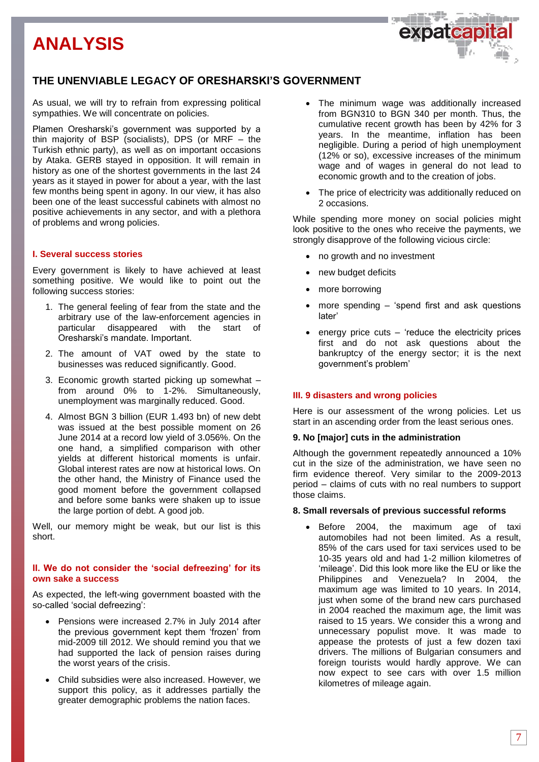### **THE UNENVIABLE LEGACY OF ORESHARSKI'S GOVERNMENT**

As usual, we will try to refrain from expressing political sympathies. We will concentrate on policies.

Plamen Oresharski's government was supported by a thin majority of BSP (socialists), DPS (or MRF – the Turkish ethnic party), as well as on important occasions by Ataka. GERB stayed in opposition. It will remain in history as one of the shortest governments in the last 24 years as it stayed in power for about a year, with the last few months being spent in agony. In our view, it has also been one of the least successful cabinets with almost no positive achievements in any sector, and with a plethora of problems and wrong policies.

### **I. Several success stories**

Every government is likely to have achieved at least something positive. We would like to point out the following success stories:

- 1. The general feeling of fear from the state and the arbitrary use of the law-enforcement agencies in particular disappeared with the start of Oresharski's mandate. Important.
- 2. The amount of VAT owed by the state to businesses was reduced significantly. Good.
- 3. Economic growth started picking up somewhat from around 0% to 1-2%. Simultaneously, unemployment was marginally reduced. Good.
- 4. Almost BGN 3 billion (EUR 1.493 bn) of new debt was issued at the best possible moment on 26 June 2014 at a record low yield of 3.056%. On the one hand, a simplified comparison with other yields at different historical moments is unfair. Global interest rates are now at historical lows. On the other hand, the Ministry of Finance used the good moment before the government collapsed and before some banks were shaken up to issue the large portion of debt. A good job.

Well, our memory might be weak, but our list is this short.

### **II. We do not consider the 'social defreezing' for its own sake a success**

As expected, the left-wing government boasted with the so-called 'social defreezing':

- Pensions were increased 2.7% in July 2014 after the previous government kept them 'frozen' from mid-2009 till 2012. We should remind you that we had supported the lack of pension raises during the worst years of the crisis.
- Child subsidies were also increased. However, we support this policy, as it addresses partially the greater demographic problems the nation faces.

• The minimum wage was additionally increased from BGN310 to BGN 340 per month. Thus, the cumulative recent growth has been by 42% for 3 years. In the meantime, inflation has been negligible. During a period of high unemployment (12% or so), excessive increases of the minimum wage and of wages in general do not lead to economic growth and to the creation of jobs.

expateap

• The price of electricity was additionally reduced on 2 occasions.

While spending more money on social policies might look positive to the ones who receive the payments, we strongly disapprove of the following vicious circle:

- no growth and no investment
- new budget deficits
- more borrowing
- more spending 'spend first and ask questions later'
- energy price cuts  $-$  'reduce the electricity prices first and do not ask questions about the bankruptcy of the energy sector; it is the next government's problem'

### **III. 9 disasters and wrong policies**

Here is our assessment of the wrong policies. Let us start in an ascending order from the least serious ones.

### **9. No [major] cuts in the administration**

Although the government repeatedly announced a 10% cut in the size of the administration, we have seen no firm evidence thereof. Very similar to the 2009-2013 period – claims of cuts with no real numbers to support those claims.

### **8. Small reversals of previous successful reforms**

 Before 2004, the maximum age of taxi automobiles had not been limited. As a result, 85% of the cars used for taxi services used to be 10-35 years old and had 1-2 million kilometres of 'mileage'. Did this look more like the EU or like the Philippines and Venezuela? In 2004, the maximum age was limited to 10 years. In 2014, just when some of the brand new cars purchased in 2004 reached the maximum age, the limit was raised to 15 years. We consider this a wrong and unnecessary populist move. It was made to appease the protests of just a few dozen taxi drivers. The millions of Bulgarian consumers and foreign tourists would hardly approve. We can now expect to see cars with over 1.5 million kilometres of mileage again.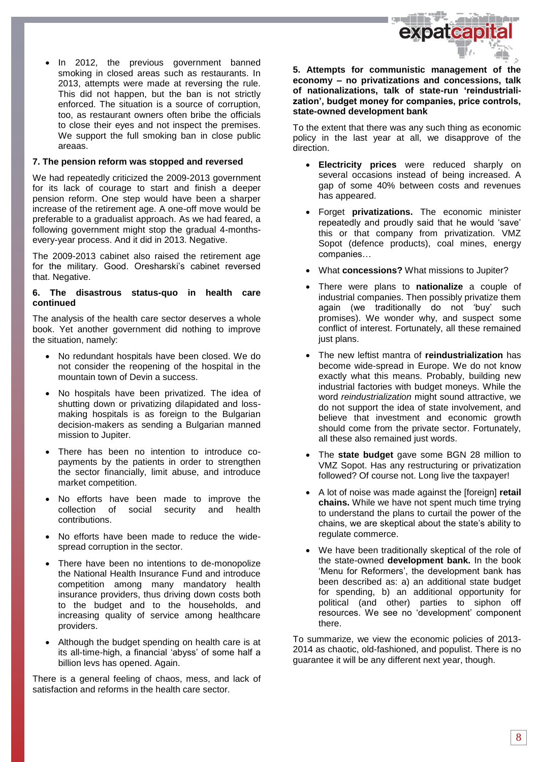

 In 2012, the previous government banned smoking in closed areas such as restaurants. In 2013, attempts were made at reversing the rule. This did not happen, but the ban is not strictly enforced. The situation is a source of corruption, too, as restaurant owners often bribe the officials to close their eyes and not inspect the premises. We support the full smoking ban in close public areaas.

### **7. The pension reform was stopped and reversed**

We had repeatedly criticized the 2009-2013 government for its lack of courage to start and finish a deeper pension reform. One step would have been a sharper increase of the retirement age. A one-off move would be preferable to a gradualist approach. As we had feared, a following government might stop the gradual 4-monthsevery-year process. And it did in 2013. Negative.

The 2009-2013 cabinet also raised the retirement age for the military. Good. Oresharski's cabinet reversed that. Negative.

### **6. The disastrous status-quo in health care continued**

The analysis of the health care sector deserves a whole book. Yet another government did nothing to improve the situation, namely:

- No redundant hospitals have been closed. We do not consider the reopening of the hospital in the mountain town of Devin a success.
- No hospitals have been privatized. The idea of shutting down or privatizing dilapidated and lossmaking hospitals is as foreign to the Bulgarian decision-makers as sending a Bulgarian manned mission to Jupiter.
- There has been no intention to introduce copayments by the patients in order to strengthen the sector financially, limit abuse, and introduce market competition.
- No efforts have been made to improve the collection of social security and health contributions.
- No efforts have been made to reduce the widespread corruption in the sector.
- There have been no intentions to de-monopolize the National Health Insurance Fund and introduce competition among many mandatory health insurance providers, thus driving down costs both to the budget and to the households, and increasing quality of service among healthcare providers.
- Although the budget spending on health care is at its all-time-high, a financial 'abyss' of some half a billion levs has opened. Again.

There is a general feeling of chaos, mess, and lack of satisfaction and reforms in the health care sector.

**5. Attempts for communistic management of the economy – no privatizations and concessions, talk of nationalizations, talk of state-run 'reindustrialization', budget money for companies, price controls, state-owned development bank**

To the extent that there was any such thing as economic policy in the last year at all, we disapprove of the direction.

- **Electricity prices** were reduced sharply on several occasions instead of being increased. A gap of some 40% between costs and revenues has appeared.
- Forget **privatizations.** The economic minister repeatedly and proudly said that he would 'save' this or that company from privatization. VMZ Sopot (defence products), coal mines, energy companies…
- What **concessions?** What missions to Jupiter?
- There were plans to **nationalize** a couple of industrial companies. Then possibly privatize them again (we traditionally do not 'buy' such promises). We wonder why, and suspect some conflict of interest. Fortunately, all these remained just plans.
- The new leftist mantra of **reindustrialization** has become wide-spread in Europe. We do not know exactly what this means. Probably, building new industrial factories with budget moneys. While the word *reindustrialization* might sound attractive, we do not support the idea of state involvement, and believe that investment and economic growth should come from the private sector. Fortunately, all these also remained just words.
- The **state budget** gave some BGN 28 million to VMZ Sopot. Has any restructuring or privatization followed? Of course not. Long live the taxpayer!
- A lot of noise was made against the [foreign] **retail chains.** While we have not spent much time trying to understand the plans to curtail the power of the chains, we are skeptical about the state's ability to regulate commerce.
- We have been traditionally skeptical of the role of the state-owned **development bank.** In the book 'Menu for Reformers', the development bank has been described as: a) an additional state budget for spending, b) an additional opportunity for political (and other) parties to siphon off resources. We see no 'development' component there.

To summarize, we view the economic policies of 2013- 2014 as chaotic, old-fashioned, and populist. There is no guarantee it will be any different next year, though.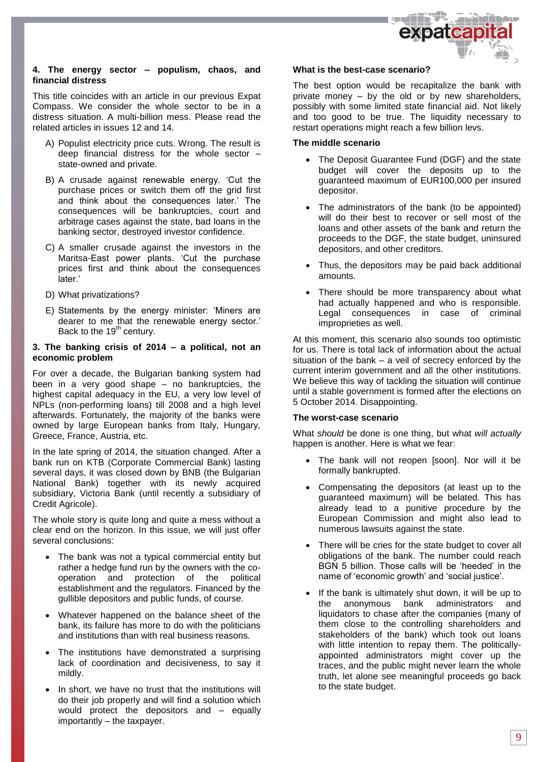

### **4. The energy sector – populism, chaos, and financial distress**

This title coincides with an article in our previous Expat Compass. We consider the whole sector to be in a distress situation. A multi-billion mess. Please read the related articles in issues 12 and 14.

- A) Populist electricity price cuts. Wrong. The result is deep financial distress for the whole sector – state-owned and private.
- B) A crusade against renewable energy. 'Cut the purchase prices or switch them off the grid first and think about the consequences later.' The consequences will be bankruptcies, court and arbitrage cases against the state, bad loans in the banking sector, destroyed investor confidence.
- C) A smaller crusade against the investors in the Maritsa-East power plants. 'Cut the purchase prices first and think about the consequences later.'
- D) What privatizations?
- E) Statements by the energy minister: 'Miners are dearer to me that the renewable energy sector.' Back to the 19<sup>th</sup> century.

### **3. The banking crisis of 2014 – a political, not an economic problem**

For over a decade, the Bulgarian banking system had been in a very good shape – no bankruptcies, the highest capital adequacy in the EU, a very low level of NPLs (non-performing loans) till 2008 and a high level afterwards. Fortunately, the majority of the banks were owned by large European banks from Italy, Hungary, Greece, France, Austria, etc.

In the late spring of 2014, the situation changed. After a bank run on KTB (Corporate Commercial Bank) lasting several days, it was closed down by BNB (the Bulgarian National Bank) together with its newly acquired subsidiary, Victoria Bank (until recently a subsidiary of Credit Agricole).

The whole story is quite long and quite a mess without a clear end on the horizon. In this issue, we will just offer several conclusions:

- The bank was not a typical commercial entity but rather a hedge fund run by the owners with the cooperation and protection of the political establishment and the regulators. Financed by the gullible depositors and public funds, of course.
- Whatever happened on the balance sheet of the bank, its failure has more to do with the politicians and institutions than with real business reasons.
- The institutions have demonstrated a surprising lack of coordination and decisiveness, to say it mildly.
- In short, we have no trust that the institutions will do their job properly and will find a solution which would protect the depositors and – equally importantly – the taxpayer.

### **What is the best-case scenario?**

The best option would be recapitalize the bank with private money – by the old or by new shareholders, possibly with some limited state financial aid. Not likely and too good to be true. The liquidity necessary to restart operations might reach a few billion levs.

### **The middle scenario**

- The Deposit Guarantee Fund (DGF) and the state budget will cover the deposits up to the guaranteed maximum of EUR100,000 per insured depositor.
- The administrators of the bank (to be appointed) will do their best to recover or sell most of the loans and other assets of the bank and return the proceeds to the DGF, the state budget, uninsured depositors, and other creditors.
- Thus, the depositors may be paid back additional amounts.
- There should be more transparency about what had actually happened and who is responsible. Legal consequences in case of criminal improprieties as well.

At this moment, this scenario also sounds too optimistic for us. There is total lack of information about the actual situation of the bank – a veil of secrecy enforced by the current interim government and all the other institutions. We believe this way of tackling the situation will continue until a stable government is formed after the elections on 5 October 2014. Disappointing.

### **The worst-case scenario**

What *should* be done is one thing, but what *will actually* happen is another. Here is what we fear:

- The bank will not reopen [soon]. Nor will it be formally bankrupted.
- Compensating the depositors (at least up to the guaranteed maximum) will be belated. This has already lead to a punitive procedure by the European Commission and might also lead to numerous lawsuits against the state.
- There will be cries for the state budget to cover all obligations of the bank. The number could reach BGN 5 billion. Those calls will be 'heeded' in the name of 'economic growth' and 'social justice'.
- If the bank is ultimately shut down, it will be up to the anonymous bank administrators and liquidators to chase after the companies (many of them close to the controlling shareholders and stakeholders of the bank) which took out loans with little intention to repay them. The politicallyappointed administrators might cover up the traces, and the public might never learn the whole truth, let alone see meaningful proceeds go back to the state budget.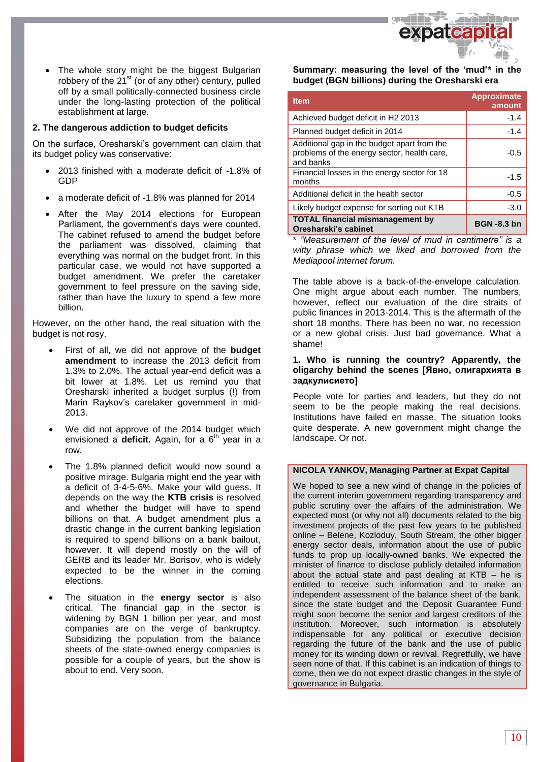

 The whole story might be the biggest Bulgarian robbery of the 21<sup>st</sup> (or of any other) century, pulled off by a small politically-connected business circle under the long-lasting protection of the political establishment at large.

### **2. The dangerous addiction to budget deficits**

On the surface, Oresharski's government can claim that its budget policy was conservative:

- 2013 finished with a moderate deficit of -1.8% of GDP
- a moderate deficit of -1.8% was planned for 2014
- After the May 2014 elections for European Parliament, the government's days were counted. The cabinet refused to amend the budget before the parliament was dissolved, claiming that everything was normal on the budget front. In this particular case, we would not have supported a budget amendment. We prefer the caretaker government to feel pressure on the saving side, rather than have the luxury to spend a few more billion.

However, on the other hand, the real situation with the budget is not rosy.

- First of all, we did not approve of the **budget amendment** to increase the 2013 deficit from 1.3% to 2.0%. The actual year-end deficit was a bit lower at 1.8%. Let us remind you that Oresharski inherited a budget surplus (!) from Marin Raykov's caretaker government in mid-2013.
- We did not approve of the 2014 budget which envisioned a **deficit.** Again, for a  $6<sup>th</sup>$  year in a row.
- The 1.8% planned deficit would now sound a positive mirage. Bulgaria might end the year with a deficit of 3-4-5-6%. Make your wild guess. It depends on the way the **KTB crisis** is resolved and whether the budget will have to spend billions on that. A budget amendment plus a drastic change in the current banking legislation is required to spend billions on a bank bailout, however. It will depend mostly on the will of GERB and its leader Mr. Borisov, who is widely expected to be the winner in the coming elections.
- The situation in the **energy sector** is also critical. The financial gap in the sector is widening by BGN 1 billion per year, and most companies are on the verge of bankruptcy. Subsidizing the population from the balance sheets of the state-owned energy companies is possible for a couple of years, but the show is about to end. Very soon.

**Summary: measuring the level of the 'mud'\* in the budget (BGN billions) during the Oresharski era**

| <b>Item</b>                                                                                             | <b>Approximate</b><br>amount |
|---------------------------------------------------------------------------------------------------------|------------------------------|
| Achieved budget deficit in H2 2013                                                                      | $-1.4$                       |
| Planned budget deficit in 2014                                                                          | $-1.4$                       |
| Additional gap in the budget apart from the<br>problems of the energy sector, health care,<br>and banks | -0.5                         |
| Financial losses in the energy sector for 18<br>months                                                  | $-1.5$                       |
| Additional deficit in the health sector                                                                 | $-0.5$                       |
| Likely budget expense for sorting out KTB                                                               | $-3.0$                       |
| <b>TOTAL financial mismanagement by</b><br>Oresharski's cabinet                                         | <b>BGN -8.3 bn</b>           |

\* *"Measurement of the level of mud in cantimetre" is a witty phrase which we liked and borrowed from the Mediapool internet forum.* 

The table above is a back-of-the-envelope calculation. One might argue about each number. The numbers, however, reflect our evaluation of the dire straits of public finances in 2013-2014. This is the aftermath of the short 18 months. There has been no war, no recession or a new global crisis. Just bad governance. What a shame!

### **1. Who is running the country? Apparently, the oligarchy behind the scenes [Явно, олигархията в задкулисието]**

People vote for parties and leaders, but they do not seem to be the people making the real decisions. Institutions have failed en masse. The situation looks quite desperate. A new government might change the landscape. Or not.

### **NICOLA YANKOV, Managing Partner at Expat Capital**

We hoped to see a new wind of change in the policies of the current interim government regarding transparency and public scrutiny over the affairs of the administration. We expected most (or why not all) documents related to the big investment projects of the past few years to be published online – Belene, Kozloduy, South Stream, the other bigger energy sector deals, information about the use of public funds to prop up locally-owned banks. We expected the minister of finance to disclose publicly detailed information about the actual state and past dealing at KTB – he is entitled to receive such information and to make an independent assessment of the balance sheet of the bank, since the state budget and the Deposit Guarantee Fund might soon become the senior and largest creditors of the institution. Moreover, such information is absolutely indispensable for any political or executive decision regarding the future of the bank and the use of public money for its winding down or revival. Regretfully, we have seen none of that. If this cabinet is an indication of things to come, then we do not expect drastic changes in the style of governance in Bulgaria.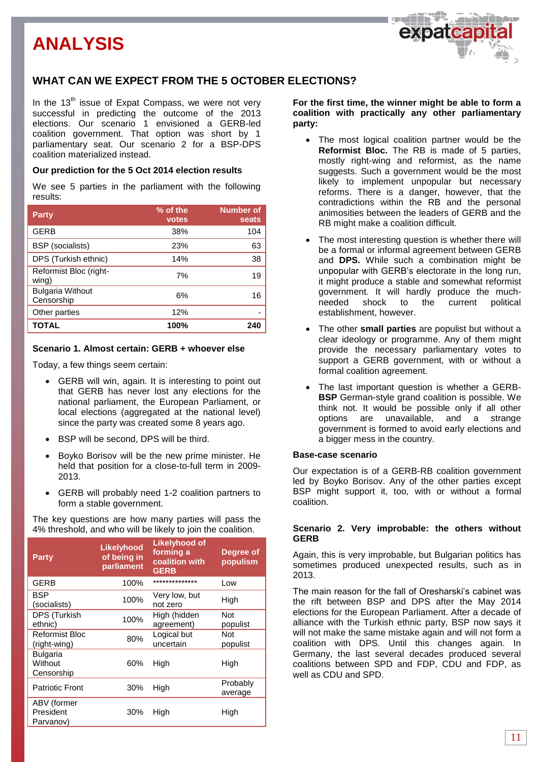

In the  $13<sup>th</sup>$  issue of Expat Compass, we were not very successful in predicting the outcome of the 2013 elections. Our scenario 1 envisioned a GERB-led coalition government. That option was short by 1 parliamentary seat. Our scenario 2 for a BSP-DPS coalition materialized instead.

### **Our prediction for the 5 Oct 2014 election results**

We see 5 parties in the parliament with the following results:

| <b>Party</b>                          | % of the<br>votes | <b>Number of</b><br>seats |
|---------------------------------------|-------------------|---------------------------|
| <b>GERB</b>                           | 38%               | 104                       |
| <b>BSP</b> (socialists)               | 23%               | 63                        |
| DPS (Turkish ethnic)                  | 14%               | 38                        |
| Reformist Bloc (right-<br>wing)       | 7%                | 19                        |
| <b>Bulgaria Without</b><br>Censorship | 6%                | 16                        |
| Other parties                         | 12%               |                           |
| <b>TOTAL</b>                          | 100%              | 240                       |

### **Scenario 1. Almost certain: GERB + whoever else**

Today, a few things seem certain:

- GERB will win, again. It is interesting to point out that GERB has never lost any elections for the national parliament, the European Parliament, or local elections (aggregated at the national level) since the party was created some 8 years ago.
- BSP will be second, DPS will be third.
- Boyko Borisov will be the new prime minister. He held that position for a close-to-full term in 2009- 2013.
- GERB will probably need 1-2 coalition partners to form a stable government.

The key questions are how many parties will pass the 4% threshold, and who will be likely to join the coalition.

| <b>Party</b>                             | Likelyhood<br>of being in<br>parliament | <b>Likelyhood of</b><br>forming a<br>coalition with<br><b>GERB</b> | Degree of<br>populism  |
|------------------------------------------|-----------------------------------------|--------------------------------------------------------------------|------------------------|
| <b>GERB</b>                              | 100%                                    | **************                                                     | Low                    |
| BSP<br>(socialists)                      | 100%                                    | Very low, but<br>not zero                                          | High                   |
| DPS (Turkish<br>ethnic)                  | 100%                                    | High (hidden<br>agreement)                                         | <b>Not</b><br>populist |
| Reformist Bloc<br>(right-wing)           | 80%                                     | Logical but<br>uncertain                                           | <b>Not</b><br>populist |
| <b>Bulgaria</b><br>Without<br>Censorship | 60%                                     | High                                                               | High                   |
| <b>Patriotic Front</b>                   | 30%                                     | High                                                               | Probably<br>average    |
| ABV (former<br>President<br>Parvanov)    | 30%                                     | High                                                               | High                   |

**For the first time, the winner might be able to form a coalition with practically any other parliamentary party:** 

- The most logical coalition partner would be the **Reformist Bloc.** The RB is made of 5 parties, mostly right-wing and reformist, as the name suggests. Such a government would be the most likely to implement unpopular but necessary reforms. There is a danger, however, that the contradictions within the RB and the personal animosities between the leaders of GERB and the RB might make a coalition difficult.
- The most interesting question is whether there will be a formal or informal agreement between GERB and **DPS.** While such a combination might be unpopular with GERB's electorate in the long run, it might produce a stable and somewhat reformist government. It will hardly produce the muchneeded shock to the current political establishment, however.
- The other **small parties** are populist but without a clear ideology or programme. Any of them might provide the necessary parliamentary votes to support a GERB government, with or without a formal coalition agreement.
- The last important question is whether a GERB-**BSP** German-style grand coalition is possible. We think not. It would be possible only if all other options are unavailable, and a strange government is formed to avoid early elections and a bigger mess in the country.

### **Base-case scenario**

Our expectation is of a GERB-RB coalition government led by Boyko Borisov. Any of the other parties except BSP might support it, too, with or without a formal coalition.

### **Scenario 2. Very improbable: the others without GERB**

Again, this is very improbable, but Bulgarian politics has sometimes produced unexpected results, such as in 2013.

The main reason for the fall of Oresharski's cabinet was the rift between BSP and DPS after the May 2014 elections for the European Parliament. After a decade of alliance with the Turkish ethnic party, BSP now says it will not make the same mistake again and will not form a coalition with DPS. Until this changes again. In Germany, the last several decades produced several coalitions between SPD and FDP, CDU and FDP, as well as CDU and SPD.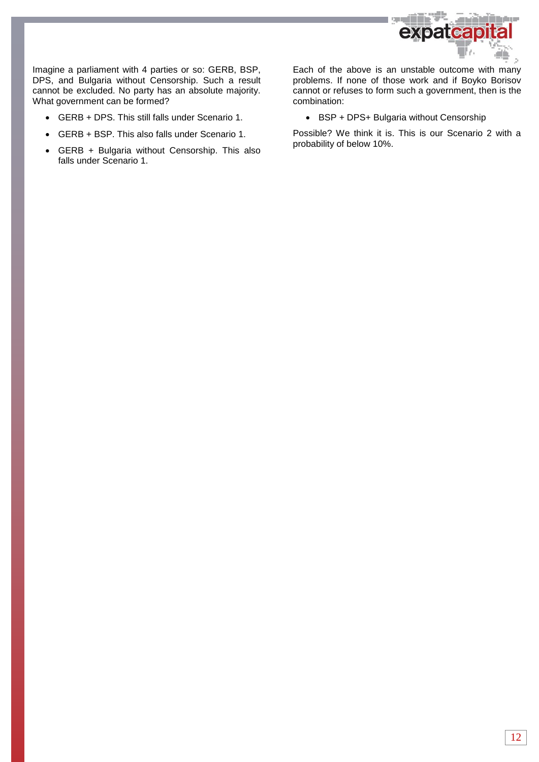

Imagine a parliament with 4 parties or so: GERB, BSP, DPS, and Bulgaria without Censorship. Such a result cannot be excluded. No party has an absolute majority. What government can be formed?

- GERB + DPS. This still falls under Scenario 1.
- GERB + BSP. This also falls under Scenario 1.
- GERB + Bulgaria without Censorship. This also falls under Scenario 1.

Each of the above is an unstable outcome with many problems. If none of those work and if Boyko Borisov cannot or refuses to form such a government, then is the combination:

• BSP + DPS+ Bulgaria without Censorship

Possible? We think it is. This is our Scenario 2 with a probability of below 10%.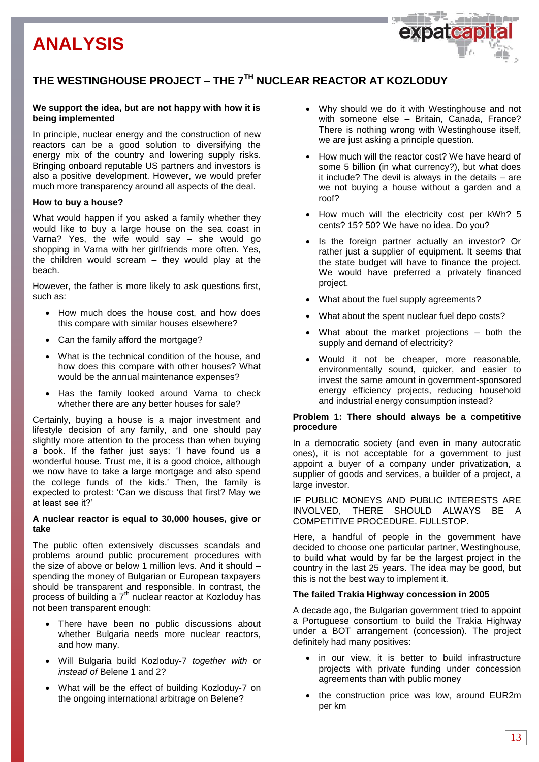

### **We support the idea, but are not happy with how it is being implemented**

In principle, nuclear energy and the construction of new reactors can be a good solution to diversifying the energy mix of the country and lowering supply risks. Bringing onboard reputable US partners and investors is also a positive development. However, we would prefer much more transparency around all aspects of the deal.

### **How to buy a house?**

What would happen if you asked a family whether they would like to buy a large house on the sea coast in Varna? Yes, the wife would say – she would go shopping in Varna with her girlfriends more often. Yes, the children would scream – they would play at the beach.

However, the father is more likely to ask questions first, such as:

- How much does the house cost, and how does this compare with similar houses elsewhere?
- Can the family afford the mortgage?
- What is the technical condition of the house, and how does this compare with other houses? What would be the annual maintenance expenses?
- Has the family looked around Varna to check whether there are any better houses for sale?

Certainly, buying a house is a major investment and lifestyle decision of any family, and one should pay slightly more attention to the process than when buying a book. If the father just says: 'I have found us a wonderful house. Trust me, it is a good choice, although we now have to take a large mortgage and also spend the college funds of the kids.' Then, the family is expected to protest: 'Can we discuss that first? May we at least see it?'

### **A nuclear reactor is equal to 30,000 houses, give or take**

The public often extensively discusses scandals and problems around public procurement procedures with the size of above or below 1 million levs. And it should – spending the money of Bulgarian or European taxpayers should be transparent and responsible. In contrast, the process of building a  $7<sup>th</sup>$  nuclear reactor at Kozloduy has not been transparent enough:

- There have been no public discussions about whether Bulgaria needs more nuclear reactors, and how many.
- Will Bulgaria build Kozloduy-7 *together with* or *instead of* Belene 1 and 2?
- What will be the effect of building Kozloduy-7 on the ongoing international arbitrage on Belene?

 Why should we do it with Westinghouse and not with someone else – Britain, Canada, France? There is nothing wrong with Westinghouse itself, we are just asking a principle question.

expateap

- How much will the reactor cost? We have heard of some 5 billion (in what currency?), but what does it include? The devil is always in the details – are we not buying a house without a garden and a roof?
- How much will the electricity cost per kWh? 5 cents? 15? 50? We have no idea. Do you?
- Is the foreign partner actually an investor? Or rather just a supplier of equipment. It seems that the state budget will have to finance the project. We would have preferred a privately financed project.
- What about the fuel supply agreements?
- What about the spent nuclear fuel depo costs?
- What about the market projections both the supply and demand of electricity?
- Would it not be cheaper, more reasonable, environmentally sound, quicker, and easier to invest the same amount in government-sponsored energy efficiency projects, reducing household and industrial energy consumption instead?

### **Problem 1: There should always be a competitive procedure**

In a democratic society (and even in many autocratic ones), it is not acceptable for a government to just appoint a buyer of a company under privatization, a supplier of goods and services, a builder of a project, a large investor.

IF PUBLIC MONEYS AND PUBLIC INTERESTS ARE INVOLVED, THERE SHOULD ALWAYS BE A COMPETITIVE PROCEDURE. FULLSTOP.

Here, a handful of people in the government have decided to choose one particular partner, Westinghouse, to build what would by far be the largest project in the country in the last 25 years. The idea may be good, but this is not the best way to implement it.

#### **The failed Trakia Highway concession in 2005**

A decade ago, the Bulgarian government tried to appoint a Portuguese consortium to build the Trakia Highway under a BOT arrangement (concession). The project definitely had many positives:

- in our view, it is better to build infrastructure projects with private funding under concession agreements than with public money
- the construction price was low, around EUR2m per km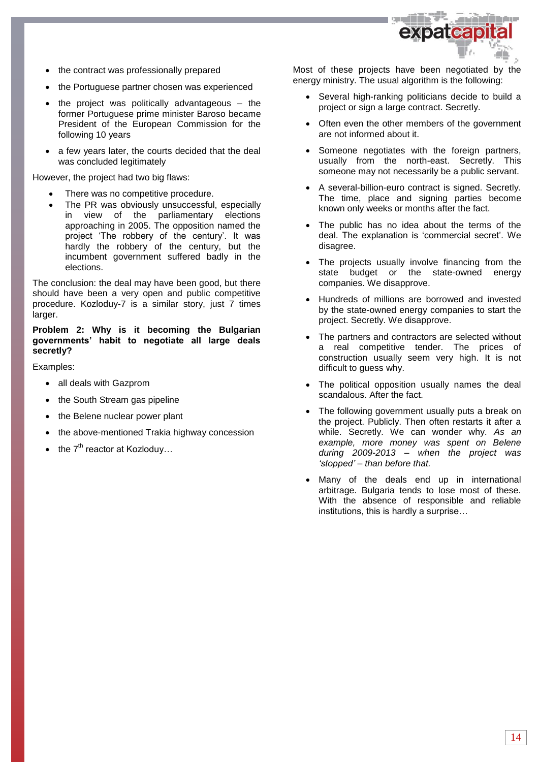

- the contract was professionally prepared
- the Portuguese partner chosen was experienced
- the project was politically advantageous the former Portuguese prime minister Baroso became President of the European Commission for the following 10 years
- a few years later, the courts decided that the deal was concluded legitimately

However, the project had two big flaws:

- There was no competitive procedure.
- The PR was obviously unsuccessful, especially in view of the parliamentary elections approaching in 2005. The opposition named the project 'The robbery of the century'. It was hardly the robbery of the century, but the incumbent government suffered badly in the elections.

The conclusion: the deal may have been good, but there should have been a very open and public competitive procedure. Kozloduy-7 is a similar story, just 7 times larger.

### **Problem 2: Why is it becoming the Bulgarian governments' habit to negotiate all large deals secretly?**

Examples:

- all deals with Gazprom
- the South Stream gas pipeline
- the Belene nuclear power plant
- the above-mentioned Trakia highway concession
- the  $7<sup>th</sup>$  reactor at Kozloduy...

Most of these projects have been negotiated by the energy ministry. The usual algorithm is the following:

- Several high-ranking politicians decide to build a project or sign a large contract. Secretly.
- Often even the other members of the government are not informed about it.
- Someone negotiates with the foreign partners, usually from the north-east. Secretly. This someone may not necessarily be a public servant.
- A several-billion-euro contract is signed. Secretly. The time, place and signing parties become known only weeks or months after the fact.
- The public has no idea about the terms of the deal. The explanation is 'commercial secret'. We disagree.
- The projects usually involve financing from the state budget or the state-owned energy companies. We disapprove.
- Hundreds of millions are borrowed and invested by the state-owned energy companies to start the project. Secretly. We disapprove.
- The partners and contractors are selected without a real competitive tender. The prices of construction usually seem very high. It is not difficult to guess why.
- The political opposition usually names the deal scandalous. After the fact.
- The following government usually puts a break on the project. Publicly. Then often restarts it after a while. Secretly. We can wonder why. *As an example, more money was spent on Belene during 2009-2013 – when the project was 'stopped' – than before that.*
- Many of the deals end up in international arbitrage. Bulgaria tends to lose most of these. With the absence of responsible and reliable institutions, this is hardly a surprise…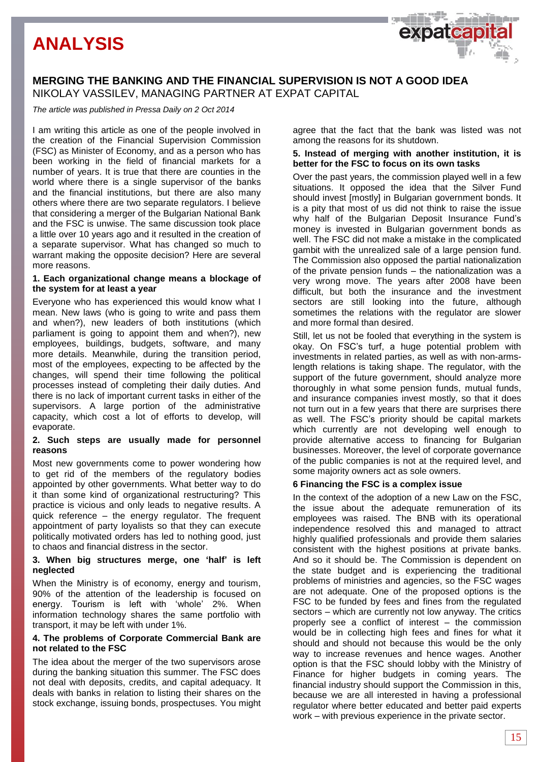### **MERGING THE BANKING AND THE FINANCIAL SUPERVISION IS NOT A GOOD IDEA** NIKOLAY VASSILEV, MANAGING PARTNER AT EXPAT CAPITAL

*The article was published in Pressa Daily on 2 Oct 2014*

I am writing this article as one of the people involved in the creation of the Financial Supervision Commission (FSC) as Minister of Economy, and as a person who has been working in the field of financial markets for a number of years. It is true that there are counties in the world where there is a single supervisor of the banks and the financial institutions, but there are also many others where there are two separate regulators. I believe that considering a merger of the Bulgarian National Bank and the FSC is unwise. The same discussion took place a little over 10 years ago and it resulted in the creation of a separate supervisor. What has changed so much to warrant making the opposite decision? Here are several more reasons.

### **1. Each organizational change means a blockage of the system for at least a year**

Everyone who has experienced this would know what I mean. New laws (who is going to write and pass them and when?), new leaders of both institutions (which parliament is going to appoint them and when?), new employees, buildings, budgets, software, and many more details. Meanwhile, during the transition period, most of the employees, expecting to be affected by the changes, will spend their time following the political processes instead of completing their daily duties. And there is no lack of important current tasks in either of the supervisors. A large portion of the administrative capacity, which cost a lot of efforts to develop, will evaporate.

### **2. Such steps are usually made for personnel reasons**

Most new governments come to power wondering how to get rid of the members of the regulatory bodies appointed by other governments. What better way to do it than some kind of organizational restructuring? This practice is vicious and only leads to negative results. A quick reference – the energy regulator. The frequent appointment of party loyalists so that they can execute politically motivated orders has led to nothing good, just to chaos and financial distress in the sector.

### **3. When big structures merge, one 'half' is left neglected**

When the Ministry is of economy, energy and tourism, 90% of the attention of the leadership is focused on energy. Tourism is left with 'whole' 2%. When information technology shares the same portfolio with transport, it may be left with under 1%.

### **4. The problems of Corporate Commercial Bank are not related to the FSC**

The idea about the merger of the two supervisors arose during the banking situation this summer. The FSC does not deal with deposits, credits, and capital adequacy. It deals with banks in relation to listing their shares on the stock exchange, issuing bonds, prospectuses. You might

agree that the fact that the bank was listed was not among the reasons for its shutdown.

expateap

### **5. Instead of merging with another institution, it is better for the FSC to focus on its own tasks**

Over the past years, the commission played well in a few situations. It opposed the idea that the Silver Fund should invest [mostly] in Bulgarian government bonds. It is a pity that most of us did not think to raise the issue why half of the Bulgarian Deposit Insurance Fund's money is invested in Bulgarian government bonds as well. The FSC did not make a mistake in the complicated gambit with the unrealized sale of a large pension fund. The Commission also opposed the partial nationalization of the private pension funds – the nationalization was a very wrong move. The years after 2008 have been difficult, but both the insurance and the investment sectors are still looking into the future, although sometimes the relations with the regulator are slower and more formal than desired.

Still, let us not be fooled that everything in the system is okay. On FSC's turf, a huge potential problem with investments in related parties, as well as with non-armslength relations is taking shape. The regulator, with the support of the future government, should analyze more thoroughly in what some pension funds, mutual funds, and insurance companies invest mostly, so that it does not turn out in a few years that there are surprises there as well. The FSC's priority should be capital markets which currently are not developing well enough to provide alternative access to financing for Bulgarian businesses. Moreover, the level of corporate governance of the public companies is not at the required level, and some majority owners act as sole owners.

### **6 Financing the FSC is a complex issue**

In the context of the adoption of a new Law on the FSC, the issue about the adequate remuneration of its employees was raised. The BNB with its operational independence resolved this and managed to attract highly qualified professionals and provide them salaries consistent with the highest positions at private banks. And so it should be. The Commission is dependent on the state budget and is experiencing the traditional problems of ministries and agencies, so the FSC wages are not adequate. One of the proposed options is the FSC to be funded by fees and fines from the regulated sectors – which are currently not low anyway. The critics properly see a conflict of interest – the commission would be in collecting high fees and fines for what it should and should not because this would be the only way to increase revenues and hence wages. Another option is that the FSC should lobby with the Ministry of Finance for higher budgets in coming years. The financial industry should support the Commission in this, because we are all interested in having a professional regulator where better educated and better paid experts work – with previous experience in the private sector.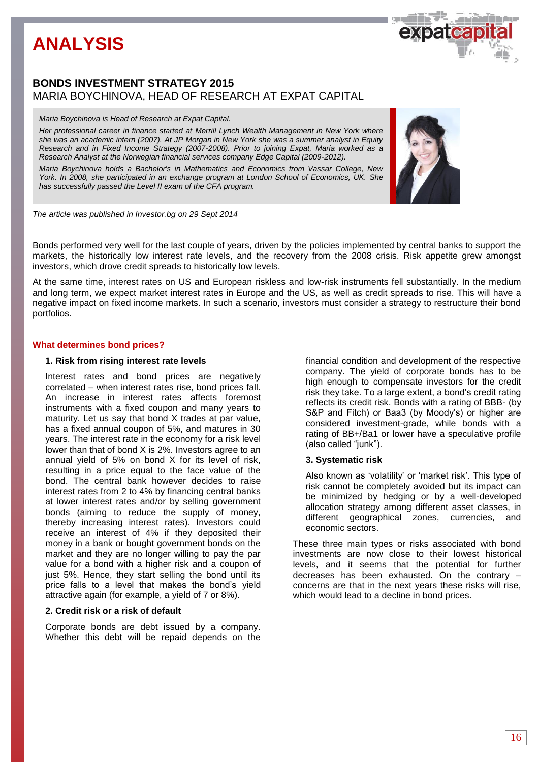### **BONDS INVESTMENT STRATEGY 2015** MARIA BOYCHINOVA, HEAD OF RESEARCH AT EXPAT CAPITAL

#### *Maria Boychinova is Head of Research at Expat Capital.*

*Her professional career in finance started at Merrill Lynch Wealth Management in New York where she was an academic intern (2007). At JP Morgan in New York she was a summer analyst in Equity Research and in Fixed Income Strategy (2007-2008). Prior to joining Expat, Maria worked as a Research Analyst at the Norwegian financial services company Edge Capital (2009-2012).* 

*Maria Boychinova holds a Bachelor's in Mathematics and Economics from Vassar College, New York. In 2008, she participated in an exchange program at London School of Economics, UK. She has successfully passed the Level II exam of the CFA program.* 



*The article was published in Investor.bg on 29 Sept 2014*

Bonds performed very well for the last couple of years, driven by the policies implemented by central banks to support the markets, the historically low interest rate levels, and the recovery from the 2008 crisis. Risk appetite grew amongst investors, which drove credit spreads to historically low levels.

At the same time, interest rates on US and European riskless and low-risk instruments fell substantially. In the medium and long term, we expect market interest rates in Europe and the US, as well as credit spreads to rise. This will have a negative impact on fixed income markets. In such a scenario, investors must consider a strategy to restructure their bond portfolios.

### **What determines bond prices?**

### **1. Risk from rising interest rate levels**

Interest rates and bond prices are negatively correlated – when interest rates rise, bond prices fall. An increase in interest rates affects foremost instruments with a fixed coupon and many years to maturity. Let us say that bond X trades at par value, has a fixed annual coupon of 5%, and matures in 30 years. The interest rate in the economy for a risk level lower than that of bond X is 2%. Investors agree to an annual yield of 5% on bond X for its level of risk, resulting in a price equal to the face value of the bond. The central bank however decides to raise interest rates from 2 to 4% by financing central banks at lower interest rates and/or by selling government bonds (aiming to reduce the supply of money, thereby increasing interest rates). Investors could receive an interest of 4% if they deposited their money in a bank or bought government bonds on the market and they are no longer willing to pay the par value for a bond with a higher risk and a coupon of just 5%. Hence, they start selling the bond until its price falls to a level that makes the bond's yield attractive again (for example, a yield of 7 or 8%).

### **2. Credit risk or a risk of default**

Corporate bonds are debt issued by a company. Whether this debt will be repaid depends on the financial condition and development of the respective company. The yield of corporate bonds has to be high enough to compensate investors for the credit risk they take. To a large extent, a bond's credit rating reflects its credit risk. Bonds with a rating of BBB- (by S&P and Fitch) or Baa3 (by Moody's) or higher are considered investment-grade, while bonds with a rating of BB+/Ba1 or lower have a speculative profile (also called "junk").

### **3. Systematic risk**

Also known as 'volatility' or 'market risk'. This type of risk cannot be completely avoided but its impact can be minimized by hedging or by a well-developed allocation strategy among different asset classes, in different geographical zones, currencies, and economic sectors.

These three main types or risks associated with bond investments are now close to their lowest historical levels, and it seems that the potential for further decreases has been exhausted. On the contrary – concerns are that in the next years these risks will rise, which would lead to a decline in bond prices.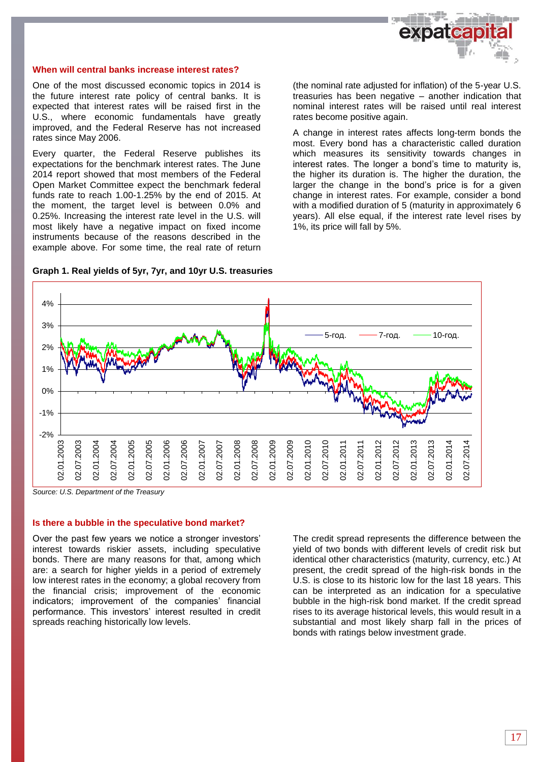

### **When will central banks increase interest rates?**

One of the most discussed economic topics in 2014 is the future interest rate policy of central banks. It is expected that interest rates will be raised first in the U.S., where economic fundamentals have greatly improved, and the Federal Reserve has not increased rates since May 2006.

Every quarter, the Federal Reserve publishes its expectations for the benchmark interest rates. The June 2014 report showed that most members of the Federal Open Market Committee expect the benchmark federal funds rate to reach 1.00-1.25% by the end of 2015. At the moment, the target level is between 0.0% and 0.25%. Increasing the interest rate level in the U.S. will most likely have a negative impact on fixed income instruments because of the reasons described in the example above. For some time, the real rate of return (the nominal rate adjusted for inflation) of the 5-year U.S. treasuries has been negative – another indication that nominal interest rates will be raised until real interest rates become positive again.

A change in interest rates affects long-term bonds the most. Every bond has a characteristic called duration which measures its sensitivity towards changes in interest rates. The longer a bond's time to maturity is, the higher its duration is. The higher the duration, the larger the change in the bond's price is for a given change in interest rates. For example, consider a bond with a modified duration of 5 (maturity in approximately 6 years). All else equal, if the interest rate level rises by 1%, its price will fall by 5%.





*Source: U.S. Department of the Treasury*

### **Is there a bubble in the speculative bond market?**

Over the past few years we notice a stronger investors' interest towards riskier assets, including speculative bonds. There are many reasons for that, among which are: a search for higher yields in a period of extremely low interest rates in the economy; a global recovery from the financial crisis; improvement of the economic indicators; improvement of the companies' financial performance. This investors' interest resulted in credit spreads reaching historically low levels.

The credit spread represents the difference between the yield of two bonds with different levels of credit risk but identical other characteristics (maturity, currency, etc.) At present, the credit spread of the high-risk bonds in the U.S. is close to its historic low for the last 18 years. This can be interpreted as an indication for a speculative bubble in the high-risk bond market. If the credit spread rises to its average historical levels, this would result in a substantial and most likely sharp fall in the prices of bonds with ratings below investment grade.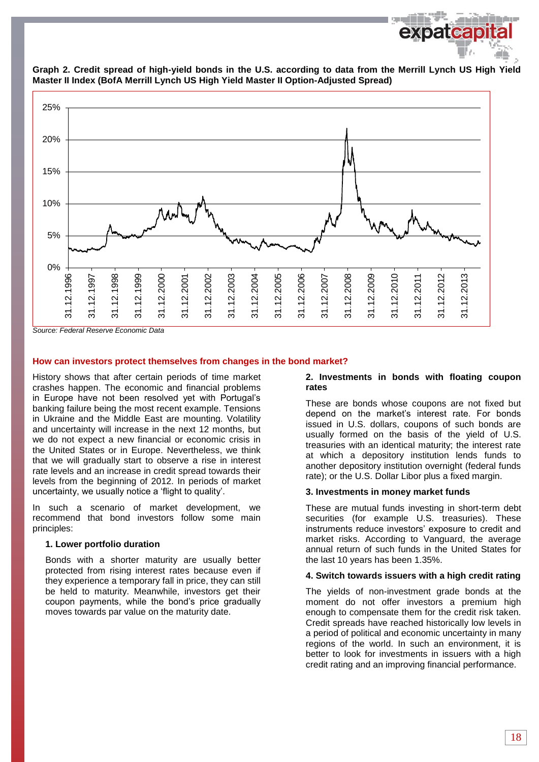

**Graph 2. Credit spread of high-yield bonds in the U.S. according to data from the Merrill Lynch US High Yield Master II Index (BofA Merrill Lynch US High Yield Master II Option-Adjusted Spread)**

#### *Source: Federal Reserve Economic Data*

#### **How can investors protect themselves from changes in the bond market?**

History shows that after certain periods of time market crashes happen. The economic and financial problems in Europe have not been resolved yet with Portugal's banking failure being the most recent example. Tensions in Ukraine and the Middle East are mounting. Volatility and uncertainty will increase in the next 12 months, but we do not expect a new financial or economic crisis in the United States or in Europe. Nevertheless, we think that we will gradually start to observe a rise in interest rate levels and an increase in credit spread towards their levels from the beginning of 2012. In periods of market uncertainty, we usually notice a 'flight to quality'.

In such a scenario of market development, we recommend that bond investors follow some main principles:

#### **1. Lower portfolio duration**

Bonds with a shorter maturity are usually better protected from rising interest rates because even if they experience a temporary fall in price, they can still be held to maturity. Meanwhile, investors get their coupon payments, while the bond's price gradually moves towards par value on the maturity date.

#### **2. Investments in bonds with floating coupon rates**

These are bonds whose coupons are not fixed but depend on the market's interest rate. For bonds issued in U.S. dollars, coupons of such bonds are usually formed on the basis of the yield of U.S. treasuries with an identical maturity; the interest rate at which a depository institution lends funds to another depository institution overnight (federal funds rate); or the U.S. Dollar Libor plus a fixed margin.

#### **3. Investments in money market funds**

These are mutual funds investing in short-term debt securities (for example U.S. treasuries). These instruments reduce investors' exposure to credit and market risks. According to Vanguard, the average annual return of such funds in the United States for the last 10 years has been 1.35%.

#### **4. Switch towards issuers with a high credit rating**

The yields of non-investment grade bonds at the moment do not offer investors a premium high enough to compensate them for the credit risk taken. Credit spreads have reached historically low levels in a period of political and economic uncertainty in many regions of the world. In such an environment, it is better to look for investments in issuers with a high credit rating and an improving financial performance.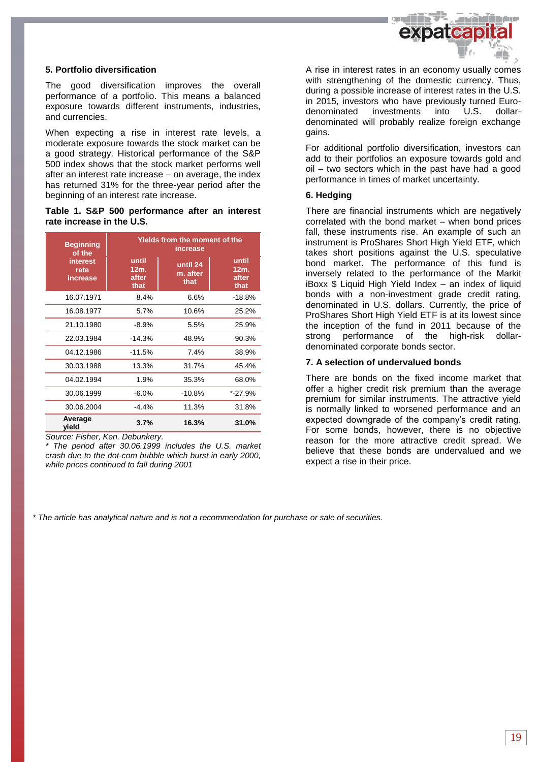

### **5. Portfolio diversification**

The good diversification improves the overall performance of a portfolio. This means a balanced exposure towards different instruments, industries, and currencies.

When expecting a rise in interest rate levels, a moderate exposure towards the stock market can be a good strategy. Historical performance of the S&P 500 index shows that the stock market performs well after an interest rate increase – on average, the index has returned 31% for the three-year period after the beginning of an interest rate increase.

### **Table 1. S&P 500 performance after an interest rate increase in the U.S.**

| <b>Beginning</b><br>of the   | Yields from the moment of the<br>increase |                              |                                |  |  |
|------------------------------|-------------------------------------------|------------------------------|--------------------------------|--|--|
| interest<br>rate<br>increase | until<br>12m.<br>after<br>that            | until 24<br>m. after<br>that | until<br>12m.<br>after<br>that |  |  |
| 16.07.1971                   | 8.4%                                      | 6.6%                         | $-18.8%$                       |  |  |
| 16.08.1977                   | 5.7%                                      | 10.6%                        | 25.2%                          |  |  |
| 21.10.1980                   | $-8.9%$                                   | 5.5%                         | 25.9%                          |  |  |
| 22.03.1984                   | $-14.3%$                                  | 48.9%                        | 90.3%                          |  |  |
| 04.12.1986                   | $-11.5%$                                  | 7.4%                         | 38.9%                          |  |  |
| 30.03.1988                   | 13.3%                                     | 31.7%                        | 45.4%                          |  |  |
| 04.02.1994                   | 1.9%                                      | 35.3%                        | 68.0%                          |  |  |
| 30.06.1999                   | $-6.0%$                                   | $-10.8%$                     | $*$ -27.9%                     |  |  |
| 30.06.2004                   | -4.4%                                     | 11.3%                        | 31.8%                          |  |  |
| Average<br>vield             | 3.7%                                      | 16.3%                        | 31.0%                          |  |  |

*Source: Fisher, Ken. Debunkery.*

*\* The period after 30.06.1999 includes the U.S. market crash due to the dot-com bubble which burst in early 2000, while prices continued to fall during 2001*

A rise in interest rates in an economy usually comes with strengthening of the domestic currency. Thus, during a possible increase of interest rates in the U.S. in 2015, investors who have previously turned Eurodenominated investments into U.S. dollardenominated will probably realize foreign exchange gains.

For additional portfolio diversification, investors can add to their portfolios an exposure towards gold and oil – two sectors which in the past have had a good performance in times of market uncertainty.

### **6. Hedging**

There are financial instruments which are negatively correlated with the bond market – when bond prices fall, these instruments rise. An example of such an instrument is ProShares Short High Yield ETF, which takes short positions against the U.S. speculative bond market. The performance of this fund is inversely related to the performance of the Markit iBoxx \$ Liquid High Yield Index – an index of liquid bonds with a non-investment grade credit rating, denominated in U.S. dollars. Currently, the price of ProShares Short High Yield ETF is at its lowest since the inception of the fund in 2011 because of the strong performance of the high-risk dollardenominated corporate bonds sector.

### **7. A selection of undervalued bonds**

There are bonds on the fixed income market that offer a higher credit risk premium than the average premium for similar instruments. The attractive yield is normally linked to worsened performance and an expected downgrade of the company's credit rating. For some bonds, however, there is no objective reason for the more attractive credit spread. We believe that these bonds are undervalued and we expect a rise in their price.

*\* The article has analytical nature and is not a recommendation for purchase or sale of securities.*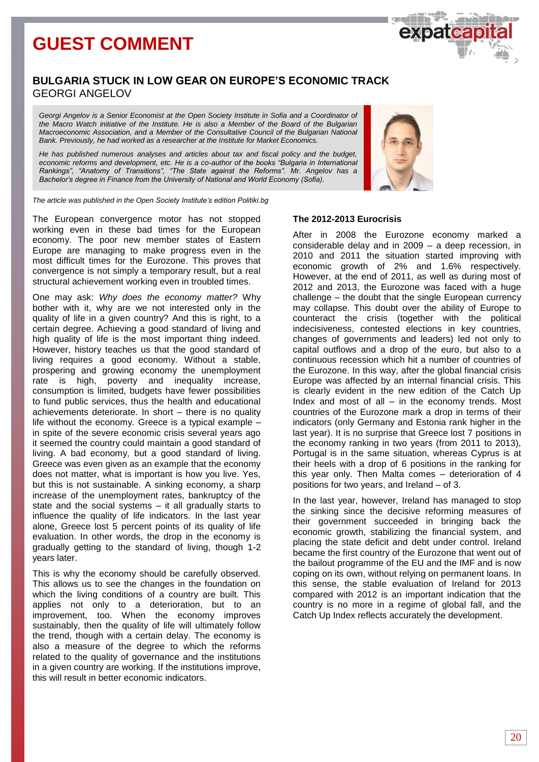# **GUEST COMMENT**

### **BULGARIA STUCK IN LOW GEAR ON EUROPE'S ECONOMIC TRACK** GEORGI ANGELOV

*Georgi Angelov is a Senior Economist at the Open Society Institute in Sofia and a Coordinator of the Macro Watch initiative of the Institute. He is also a Member of the Board of the Bulgarian Macroeconomic Association, and a Member of the Consultative Council of the Bulgarian National Bank. Previously, he had worked as a researcher at the Institute for Market Economics.* 

*He has published numerous analyses and articles about tax and fiscal policy and the budget,*  economic reforms and development, etc. He is a co-author of the books "Bulgaria in International *Rankings", "Anatomy of Transitions", "The State against the Reforms". Mr. Angelov has a Bachelor's degree in Finance from the University of National and World Economy (Sofia).*

*The article was published in the Open Society Institute's edition Politiki.bg*

The European convergence motor has not stopped working even in these bad times for the European economy. The poor new member states of Eastern Europe are managing to make progress even in the most difficult times for the Eurozone. This proves that convergence is not simply a temporary result, but a real structural achievement working even in troubled times.

One may ask: *Why does the economy matter?* Why bother with it, why are we not interested only in the quality of life in a given country? And this is right, to a certain degree. Achieving a good standard of living and high quality of life is the most important thing indeed. However, history teaches us that the good standard of living requires a good economy. Without a stable, prospering and growing economy the unemployment rate is high, poverty and inequality increase, consumption is limited, budgets have fewer possibilities to fund public services, thus the health and educational achievements deteriorate. In short – there is no quality life without the economy. Greece is a typical example – in spite of the severe economic crisis several years ago it seemed the country could maintain a good standard of living. A bad economy, but a good standard of living. Greece was even given as an example that the economy does not matter, what is important is how you live. Yes, but this is not sustainable. A sinking economy, a sharp increase of the unemployment rates, bankruptcy of the state and the social systems – it all gradually starts to influence the quality of life indicators. In the last year alone, Greece lost 5 percent points of its quality of life evaluation. In other words, the drop in the economy is gradually getting to the standard of living, though 1-2 years later.

This is why the economy should be carefully observed. This allows us to see the changes in the foundation on which the living conditions of a country are built. This applies not only to a deterioration, but to an improvement, too. When the economy improves sustainably, then the quality of life will ultimately follow the trend, though with a certain delay. The economy is also a measure of the degree to which the reforms related to the quality of governance and the institutions in a given country are working. If the institutions improve, this will result in better economic indicators.

### **The 2012-2013 Eurocrisis**

After in 2008 the Eurozone economy marked a considerable delay and in 2009 – a deep recession, in 2010 and 2011 the situation started improving with economic growth of 2% and 1.6% respectively. However, at the end of 2011, as well as during most of 2012 and 2013, the Eurozone was faced with a huge challenge – the doubt that the single European currency may collapse. This doubt over the ability of Europe to counteract the crisis (together with the political indecisiveness, contested elections in key countries, changes of governments and leaders) led not only to capital outflows and a drop of the euro, but also to a continuous recession which hit a number of countries of the Eurozone. In this way, after the global financial crisis Europe was affected by an internal financial crisis. This is clearly evident in the new edition of the Catch Up Index and most of all  $-$  in the economy trends. Most countries of the Eurozone mark a drop in terms of their indicators (only Germany and Estonia rank higher in the last year). It is no surprise that Greece lost 7 positions in the economy ranking in two years (from 2011 to 2013), Portugal is in the same situation, whereas Cyprus is at their heels with a drop of 6 positions in the ranking for this year only. Then Malta comes – deterioration of 4 positions for two years, and Ireland – of 3.

In the last year, however, Ireland has managed to stop the sinking since the decisive reforming measures of their government succeeded in bringing back the economic growth, stabilizing the financial system, and placing the state deficit and debt under control. Ireland became the first country of the Eurozone that went out of the bailout programme of the EU and the IMF and is now coping on its own, without relying on permanent loans. In this sense, the stable evaluation of Ireland for 2013 compared with 2012 is an important indication that the country is no more in a regime of global fall, and the Catch Up Index reflects accurately the development.



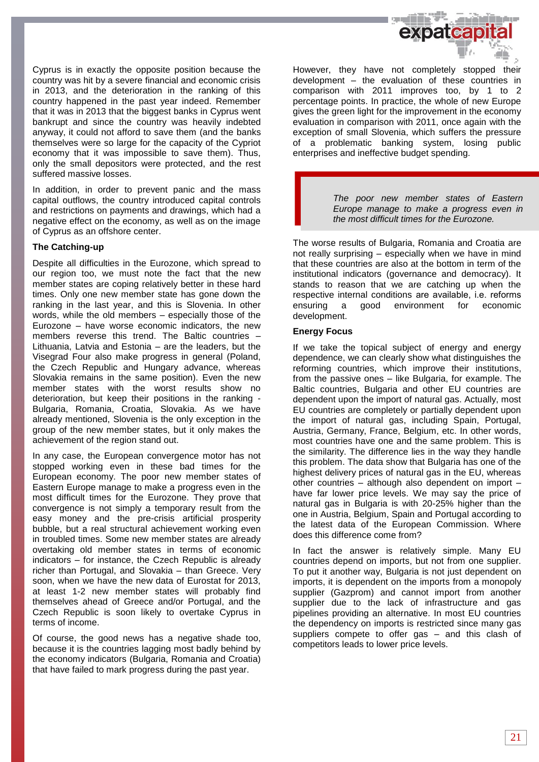

Cyprus is in exactly the opposite position because the country was hit by a severe financial and economic crisis in 2013, and the deterioration in the ranking of this country happened in the past year indeed. Remember that it was in 2013 that the biggest banks in Cyprus went bankrupt and since the country was heavily indebted anyway, it could not afford to save them (and the banks themselves were so large for the capacity of the Cypriot economy that it was impossible to save them). Thus, only the small depositors were protected, and the rest suffered massive losses.

In addition, in order to prevent panic and the mass capital outflows, the country introduced capital controls and restrictions on payments and drawings, which had a negative effect on the economy, as well as on the image of Cyprus as an offshore center.

### **The Catching-up**

Despite all difficulties in the Eurozone, which spread to our region too, we must note the fact that the new member states are coping relatively better in these hard times. Only one new member state has gone down the ranking in the last year, and this is Slovenia. In other words, while the old members – especially those of the Eurozone – have worse economic indicators, the new members reverse this trend. The Baltic countries – Lithuania, Latvia and Estonia – are the leaders, but the Visegrad Four also make progress in general (Poland, the Czech Republic and Hungary advance, whereas Slovakia remains in the same position). Even the new member states with the worst results show no deterioration, but keep their positions in the ranking - Bulgaria, Romania, Croatia, Slovakia. As we have already mentioned, Slovenia is the only exception in the group of the new member states, but it only makes the achievement of the region stand out.

In any case, the European convergence motor has not stopped working even in these bad times for the European economy. The poor new member states of Eastern Europe manage to make a progress even in the most difficult times for the Eurozone. They prove that convergence is not simply a temporary result from the easy money and the pre-crisis artificial prosperity bubble, but a real structural achievement working even in troubled times. Some new member states are already overtaking old member states in terms of economic indicators – for instance, the Czech Republic is already richer than Portugal, and Slovakia – than Greece. Very soon, when we have the new data of Eurostat for 2013, at least 1-2 new member states will probably find themselves ahead of Greece and/or Portugal, and the Czech Republic is soon likely to overtake Cyprus in terms of income.

Of course, the good news has a negative shade too, because it is the countries lagging most badly behind by the economy indicators (Bulgaria, Romania and Croatia) that have failed to mark progress during the past year.

However, they have not completely stopped their development – the evaluation of these countries in comparison with 2011 improves too, by 1 to 2 percentage points. In practice, the whole of new Europe gives the green light for the improvement in the economy evaluation in comparison with 2011, once again with the exception of small Slovenia, which suffers the pressure of a problematic banking system, losing public enterprises and ineffective budget spending.

> *The poor new member states of Eastern Europe manage to make a progress even in the most difficult times for the Eurozone.*

The worse results of Bulgaria, Romania and Croatia are not really surprising – especially when we have in mind that these countries are also at the bottom in term of the institutional indicators (governance and democracy). It stands to reason that we are catching up when the respective internal conditions are available, i.е. reforms ensuring a good environment for economic development.

### **Energy Focus**

If we take the topical subject of energy and energy dependence, we can clearly show what distinguishes the reforming countries, which improve their institutions, from the passive ones – like Bulgaria, for example. The Baltic countries, Bulgaria and other EU countries are dependent upon the import of natural gas. Actually, most EU countries are completely or partially dependent upon the import of natural gas, including Spain, Portugal, Austria, Germany, France, Belgium, etc. In other words, most countries have one and the same problem. This is the similarity. The difference lies in the way they handle this problem. The data show that Bulgaria has one of the highest delivery prices of natural gas in the EU, whereas other countries – although also dependent on import – have far lower price levels. We may say the price of natural gas in Bulgaria is with 20-25% higher than the one in Austria, Belgium, Spain and Portugal according to the latest data of the European Commission. Where does this difference come from?

In fact the answer is relatively simple. Many EU countries depend on imports, but not from one supplier. To put it another way, Bulgaria is not just dependent on imports, it is dependent on the imports from a monopoly supplier (Gazprom) and cannot import from another supplier due to the lack of infrastructure and gas pipelines providing an alternative. In most EU countries the dependency on imports is restricted since many gas suppliers compete to offer gas – and this clash of competitors leads to lower price levels.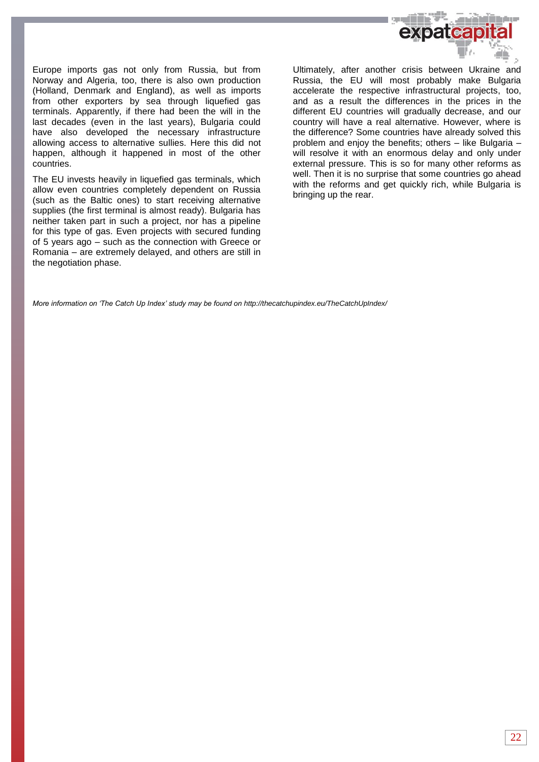

Europe imports gas not only from Russia, but from Norway and Algeria, too, there is also own production (Holland, Denmark and England), as well as imports from other exporters by sea through liquefied gas terminals. Apparently, if there had been the will in the last decades (even in the last years), Bulgaria could have also developed the necessary infrastructure allowing access to alternative sullies. Here this did not happen, although it happened in most of the other countries.

The EU invests heavily in liquefied gas terminals, which allow even countries completely dependent on Russia (such as the Baltic ones) to start receiving alternative supplies (the first terminal is almost ready). Bulgaria has neither taken part in such a project, nor has a pipeline for this type of gas. Even projects with secured funding of 5 years ago – such as the connection with Greece or Romania – are extremely delayed, and others are still in the negotiation phase.

Ultimately, after another crisis between Ukraine and Russia, the EU will most probably make Bulgaria accelerate the respective infrastructural projects, too, and as a result the differences in the prices in the different EU countries will gradually decrease, and our country will have a real alternative. However, where is the difference? Some countries have already solved this problem and enjoy the benefits; others – like Bulgaria – will resolve it with an enormous delay and only under external pressure. This is so for many other reforms as well. Then it is no surprise that some countries go ahead with the reforms and get quickly rich, while Bulgaria is bringing up the rear.

*More information on 'The Catch Up Index' study may be found o[n http://thecatchupindex.eu/TheCatchUpIndex/](http://thecatchupindex.eu/TheCatchUpIndex/)*